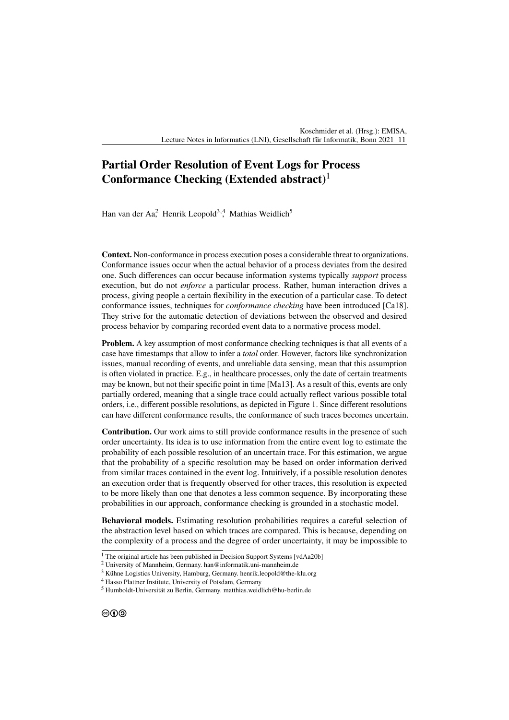## **Partial Order Resolution of Event Logs for Process Conformance Checking (Extended abstract)**<sup>1</sup>

Han van der Aa<sup>2</sup> Henrik Leopold<sup>3,4</sup>, Mathias Weidlich<sup>5</sup>

**Context.** Non-conformance in process execution poses a considerable threat to organizations. Conformance issues occur when the actual behavior of a process deviates from the desired one. Such differences can occur because information systems typically *support* process execution, but do not *enforce* a particular process. Rather, human interaction drives a process, giving people a certain flexibility in the execution of a particular case. To detect conformance issues, techniques for *conformance checking* have been introduced [\[Ca18\]](#page-1-0). They strive for the automatic detection of deviations between the observed and desired process behavior by comparing recorded event data to a normative process model.

**Problem.** A key assumption of most conformance checking techniques is that all events of a case have timestamps that allow to infer a *total* order. However, factors like synchronization issues, manual recording of events, and unreliable data sensing, mean that this assumption is often violated in practice. E.g., in healthcare processes, only the date of certain treatments may be known, but not their specific point in time [\[Ma13\]](#page-1-1). As a result of this, events are only partially ordered, meaning that a single trace could actually reflect various possible total orders, i.e., different possible resolutions, as depicted in [Figure 1.](#page-1-2) Since different resolutions can have different conformance results, the conformance of such traces becomes uncertain.

**Contribution.** Our work aims to still provide conformance results in the presence of such order uncertainty. Its idea is to use information from the entire event log to estimate the probability of each possible resolution of an uncertain trace. For this estimation, we argue that the probability of a specific resolution may be based on order information derived from similar traces contained in the event log. Intuitively, if a possible resolution denotes an execution order that is frequently observed for other traces, this resolution is expected to be more likely than one that denotes a less common sequence. By incorporating these probabilities in our approach, conformance checking is grounded in a stochastic model.

**Behavioral models.** Estimating resolution probabilities requires a careful selection of the abstraction level based on which traces are compared. This is because, depending on the complexity of a process and the degree of order uncertainty, it may be impossible to

 $1$  The original article has been published in Decision Support Systems [\[vdAa20b\]](#page-1-3)

<sup>2</sup> University of Mannheim, Germany. [han@informatik.uni-mannheim.de](mailto:han@informatik.uni-mannheim.de)

<sup>3</sup> Kühne Logistics University, Hamburg, Germany. [henrik.leopold@the-klu.org](mailto:henrik.leopold@the-klu.org)

<sup>4</sup> Hasso Plattner Institute, University of Potsdam, Germany

<sup>5</sup> Humboldt-Universität zu Berlin, Germany. [matthias.weidlich@hu-berlin.de](mailto:matthias.weidlich@hu-berlin.de)